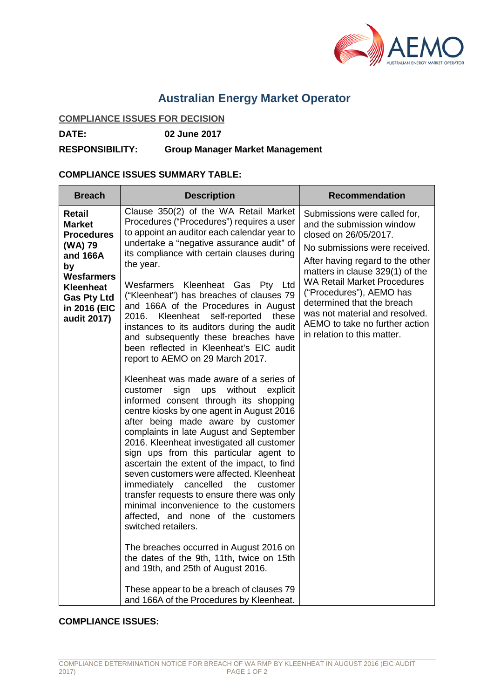

# **Australian Energy Market Operator**

# **COMPLIANCE ISSUES FOR DECISION**

**DATE: 02 June 2017**

**RESPONSIBILITY: Group Manager Market Management**

### **COMPLIANCE ISSUES SUMMARY TABLE:**

| <b>Breach</b>                                                                                                                                                           | <b>Description</b>                                                                                                                                                                                                                                                                                                                                                                                                                                                                                                                                                                                                                                                                                                                                                                                                                                                                                                                                                                                                                                                                                                                                                                                                                                                                                                                                                                                                                                        | <b>Recommendation</b>                                                                                                                                                                                                                                                                                                                                                                         |
|-------------------------------------------------------------------------------------------------------------------------------------------------------------------------|-----------------------------------------------------------------------------------------------------------------------------------------------------------------------------------------------------------------------------------------------------------------------------------------------------------------------------------------------------------------------------------------------------------------------------------------------------------------------------------------------------------------------------------------------------------------------------------------------------------------------------------------------------------------------------------------------------------------------------------------------------------------------------------------------------------------------------------------------------------------------------------------------------------------------------------------------------------------------------------------------------------------------------------------------------------------------------------------------------------------------------------------------------------------------------------------------------------------------------------------------------------------------------------------------------------------------------------------------------------------------------------------------------------------------------------------------------------|-----------------------------------------------------------------------------------------------------------------------------------------------------------------------------------------------------------------------------------------------------------------------------------------------------------------------------------------------------------------------------------------------|
| <b>Retail</b><br><b>Market</b><br><b>Procedures</b><br>(WA) 79<br>and 166A<br>by<br><b>Wesfarmers</b><br>Kleenheat<br><b>Gas Pty Ltd</b><br>in 2016 (EIC<br>audit 2017) | Clause 350(2) of the WA Retail Market<br>Procedures ("Procedures") requires a user<br>to appoint an auditor each calendar year to<br>undertake a "negative assurance audit" of<br>its compliance with certain clauses during<br>the year.<br>Wesfarmers Kleenheat Gas Pty Ltd<br>("Kleenheat") has breaches of clauses 79<br>and 166A of the Procedures in August<br>Kleenheat self-reported these<br>2016.<br>instances to its auditors during the audit<br>and subsequently these breaches have<br>been reflected in Kleenheat's EIC audit<br>report to AEMO on 29 March 2017.<br>Kleenheat was made aware of a series of<br>sign<br>without<br>explicit<br>customer<br>ups<br>informed consent through its shopping<br>centre kiosks by one agent in August 2016<br>after being made aware by customer<br>complaints in late August and September<br>2016. Kleenheat investigated all customer<br>sign ups from this particular agent to<br>ascertain the extent of the impact, to find<br>seven customers were affected. Kleenheat<br>immediately cancelled the customer<br>transfer requests to ensure there was only<br>minimal inconvenience to the customers<br>affected, and none of the customers<br>switched retailers.<br>The breaches occurred in August 2016 on<br>the dates of the 9th, 11th, twice on 15th<br>and 19th, and 25th of August 2016.<br>These appear to be a breach of clauses 79<br>and 166A of the Procedures by Kleenheat. | Submissions were called for,<br>and the submission window<br>closed on 26/05/2017.<br>No submissions were received.<br>After having regard to the other<br>matters in clause 329(1) of the<br><b>WA Retail Market Procedures</b><br>("Procedures"), AEMO has<br>determined that the breach<br>was not material and resolved.<br>AEMO to take no further action<br>in relation to this matter. |

### **COMPLIANCE ISSUES:**